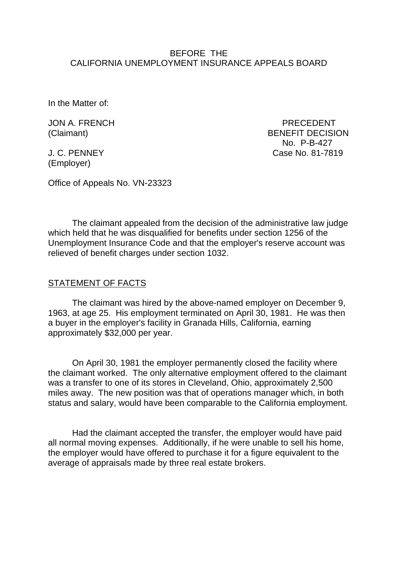### BEFORE THE CALIFORNIA UNEMPLOYMENT INSURANCE APPEALS BOARD

In the Matter of:

JON A. FRENCH PRECEDENT

(Employer)

(Claimant) BENEFIT DECISION No. P-B-427 J. C. PENNEY Case No. 81-7819

Office of Appeals No. VN-23323

The claimant appealed from the decision of the administrative law judge which held that he was disqualified for benefits under section 1256 of the Unemployment Insurance Code and that the employer's reserve account was relieved of benefit charges under section 1032.

#### STATEMENT OF FACTS

The claimant was hired by the above-named employer on December 9, 1963, at age 25. His employment terminated on April 30, 1981. He was then a buyer in the employer's facility in Granada Hills, California, earning approximately \$32,000 per year.

On April 30, 1981 the employer permanently closed the facility where the claimant worked. The only alternative employment offered to the claimant was a transfer to one of its stores in Cleveland, Ohio, approximately 2,500 miles away. The new position was that of operations manager which, in both status and salary, would have been comparable to the California employment.

Had the claimant accepted the transfer, the employer would have paid all normal moving expenses. Additionally, if he were unable to sell his home, the employer would have offered to purchase it for a figure equivalent to the average of appraisals made by three real estate brokers.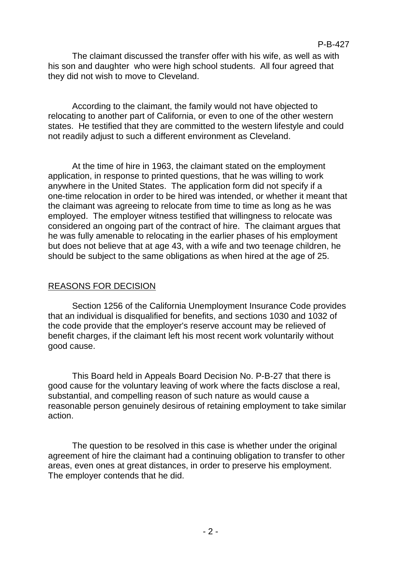The claimant discussed the transfer offer with his wife, as well as with his son and daughter who were high school students. All four agreed that they did not wish to move to Cleveland.

According to the claimant, the family would not have objected to relocating to another part of California, or even to one of the other western states. He testified that they are committed to the western lifestyle and could not readily adjust to such a different environment as Cleveland.

At the time of hire in 1963, the claimant stated on the employment application, in response to printed questions, that he was willing to work anywhere in the United States. The application form did not specify if a one-time relocation in order to be hired was intended, or whether it meant that the claimant was agreeing to relocate from time to time as long as he was employed. The employer witness testified that willingness to relocate was considered an ongoing part of the contract of hire. The claimant argues that he was fully amenable to relocating in the earlier phases of his employment but does not believe that at age 43, with a wife and two teenage children, he should be subject to the same obligations as when hired at the age of 25.

# REASONS FOR DECISION

Section 1256 of the California Unemployment Insurance Code provides that an individual is disqualified for benefits, and sections 1030 and 1032 of the code provide that the employer's reserve account may be relieved of benefit charges, if the claimant left his most recent work voluntarily without good cause.

This Board held in Appeals Board Decision No. P-B-27 that there is good cause for the voluntary leaving of work where the facts disclose a real, substantial, and compelling reason of such nature as would cause a reasonable person genuinely desirous of retaining employment to take similar action.

The question to be resolved in this case is whether under the original agreement of hire the claimant had a continuing obligation to transfer to other areas, even ones at great distances, in order to preserve his employment. The employer contends that he did.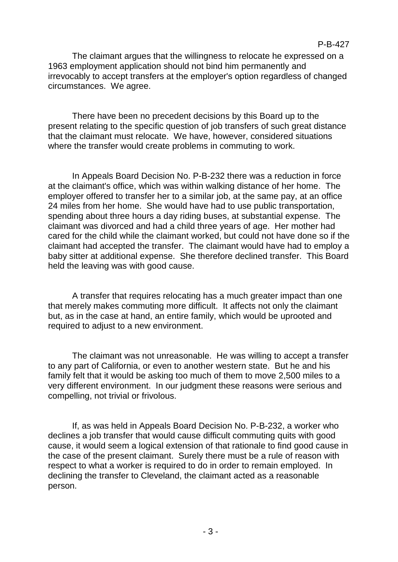The claimant argues that the willingness to relocate he expressed on a 1963 employment application should not bind him permanently and irrevocably to accept transfers at the employer's option regardless of changed circumstances. We agree.

There have been no precedent decisions by this Board up to the present relating to the specific question of job transfers of such great distance that the claimant must relocate. We have, however, considered situations where the transfer would create problems in commuting to work.

In Appeals Board Decision No. P-B-232 there was a reduction in force at the claimant's office, which was within walking distance of her home. The employer offered to transfer her to a similar job, at the same pay, at an office 24 miles from her home. She would have had to use public transportation, spending about three hours a day riding buses, at substantial expense. The claimant was divorced and had a child three years of age. Her mother had cared for the child while the claimant worked, but could not have done so if the claimant had accepted the transfer. The claimant would have had to employ a baby sitter at additional expense. She therefore declined transfer. This Board held the leaving was with good cause.

A transfer that requires relocating has a much greater impact than one that merely makes commuting more difficult. It affects not only the claimant but, as in the case at hand, an entire family, which would be uprooted and required to adjust to a new environment.

The claimant was not unreasonable. He was willing to accept a transfer to any part of California, or even to another western state. But he and his family felt that it would be asking too much of them to move 2,500 miles to a very different environment. In our judgment these reasons were serious and compelling, not trivial or frivolous.

If, as was held in Appeals Board Decision No. P-B-232, a worker who declines a job transfer that would cause difficult commuting quits with good cause, it would seem a logical extension of that rationale to find good cause in the case of the present claimant. Surely there must be a rule of reason with respect to what a worker is required to do in order to remain employed. In declining the transfer to Cleveland, the claimant acted as a reasonable person.